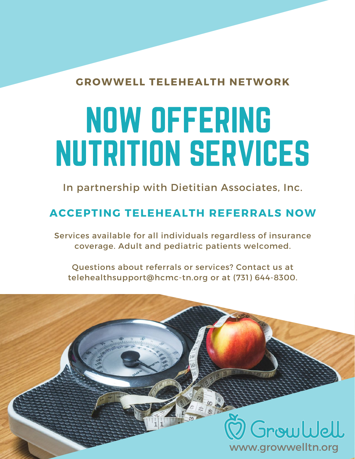#### **GROWWELL TELEHEALTH NETWORK**

# NOW OFFERING NUTRITION SERVICES

In partnership with Dietitian Associates, Inc.

### **ACCEPTING TELEHEALTH REFERRALS NOW**

Services available for all individuals regardless of insurance coverage. Adult and pediatric patients welcomed.

Questions about referrals or services? Contact us at telehealthsupport@hcmc-tn.org or at (731) 644-8300.